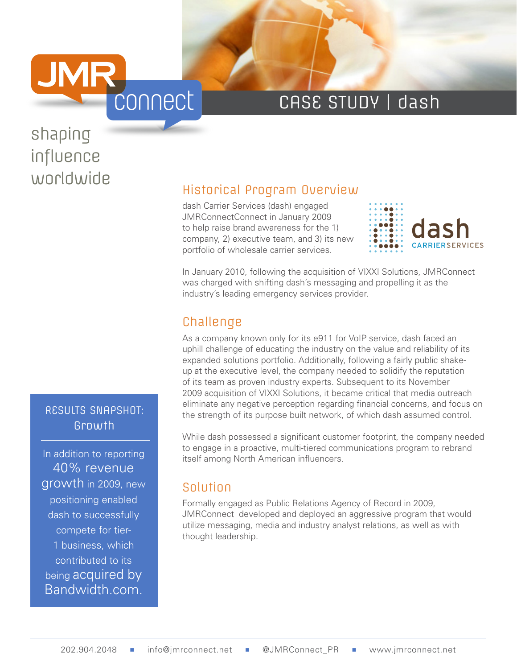

### CASE STUDY | dash

# shaping influence

#### RESULTS SNAPSHOT: Growth

In addition to reporting 40% revenue growth in 2009, new positioning enabled dash to successfully compete for tier-1 business, which contributed to its being acquired by Bandwidth.com.

## worldwide<br>
Historical Program Overview

dash Carrier Services (dash) engaged JMRConnectConnect in January 2009 to help raise brand awareness for the 1) company, 2) executive team, and 3) its new portfolio of wholesale carrier services.



In January 2010, following the acquisition of VIXXI Solutions, JMRConnect was charged with shifting dash's messaging and propelling it as the industry's leading emergency services provider.

#### Challenge

As a company known only for its e911 for VoIP service, dash faced an uphill challenge of educating the industry on the value and reliability of its expanded solutions portfolio. Additionally, following a fairly public shakeup at the executive level, the company needed to solidify the reputation of its team as proven industry experts. Subsequent to its November 2009 acquisition of VIXXI Solutions, it became critical that media outreach eliminate any negative perception regarding financial concerns, and focus on the strength of its purpose built network, of which dash assumed control.

While dash possessed a significant customer footprint, the company needed to engage in a proactive, multi-tiered communications program to rebrand itself among North American influencers.

#### Solution

Formally engaged as Public Relations Agency of Record in 2009, JMRConnect developed and deployed an aggressive program that would utilize messaging, media and industry analyst relations, as well as with thought leadership.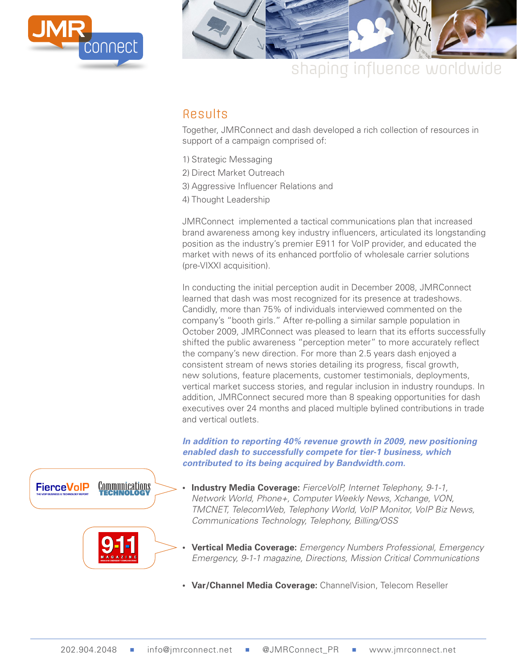



### shaping influence worldwide

#### Results

Together, JMRConnect and dash developed a rich collection of resources in support of a campaign comprised of:

- 1) Strategic Messaging
- 2) Direct Market Outreach
- 3) Aggressive Influencer Relations and
- 4) Thought Leadership

JMRConnect implemented a tactical communications plan that increased brand awareness among key industry influencers, articulated its longstanding position as the industry's premier E911 for VoIP provider, and educated the market with news of its enhanced portfolio of wholesale carrier solutions (pre-VIXXI acquisition).

In conducting the initial perception audit in December 2008, JMRConnect learned that dash was most recognized for its presence at tradeshows. Candidly, more than 75% of individuals interviewed commented on the company's "booth girls." After re-polling a similar sample population in October 2009, JMRConnect was pleased to learn that its efforts successfully shifted the public awareness "perception meter" to more accurately reflect the company's new direction. For more than 2.5 years dash enjoyed a consistent stream of news stories detailing its progress, fiscal growth, new solutions, feature placements, customer testimonials, deployments, vertical market success stories, and regular inclusion in industry roundups. In addition, JMRConnect secured more than 8 speaking opportunities for dash executives over 24 months and placed multiple bylined contributions in trade and vertical outlets.

*In addition to reporting 40% revenue growth in 2009, new positioning enabled dash to successfully compete for tier-1 business, which contributed to its being acquired by Bandwidth.com.* 

- **• Industry Media Coverage:** *FierceVoIP, Internet Telephony, 9-1-1, Network World, Phone+, Computer Weekly News, Xchange, VON, TMCNET, TelecomWeb, Telephony World, VoIP Monitor, VoIP Biz News, Communications Technology, Telephony, Billing/OSS*
- **• Vertical Media Coverage:** *Emergency Numbers Professional, Emergency Emergency, 9-1-1 magazine, Directions, Mission Critical Communications*
- **• Var/Channel Media Coverage:** ChannelVision, Telecom Reseller